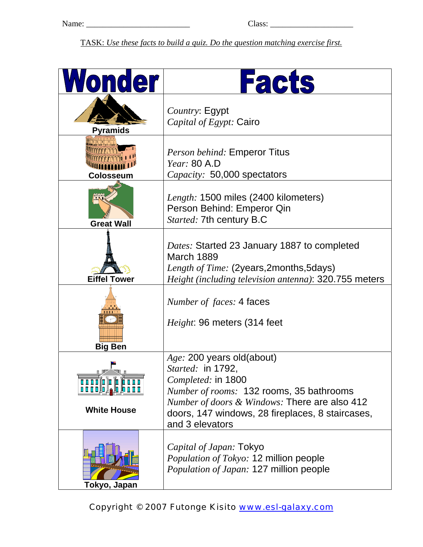TASK: *Use these facts to build a quiz. Do the question matching exercise first.*

| <b>Wonder</b>                                                   | <b>Facts</b>                                                                                                                                                                                                                                               |
|-----------------------------------------------------------------|------------------------------------------------------------------------------------------------------------------------------------------------------------------------------------------------------------------------------------------------------------|
| <b>Pyramids</b>                                                 | Country: Egypt<br><i>Capital of Egypt:</i> Cairo                                                                                                                                                                                                           |
| Colosseum                                                       | <b>Person behind: Emperor Titus</b><br>Year: 80 A.D<br>Capacity: 50,000 spectators                                                                                                                                                                         |
| <b>Great Wall</b>                                               | Length: 1500 miles (2400 kilometers)<br>Person Behind: Emperor Qin<br>Started: 7th century B.C                                                                                                                                                             |
| <b>Eiffel Tower</b>                                             | Dates: Started 23 January 1887 to completed<br>March 1889<br>Length of Time: (2years, 2months, 5days)<br>Height (including television antenna): 320.755 meters                                                                                             |
| <b>Big Ben</b>                                                  | <i>Number of faces:</i> 4 faces<br><i>Height</i> : 96 meters (314 feet                                                                                                                                                                                     |
| i V<br><b>BREEL</b><br>▍ <i>▖</i> ⅉ▊▐▌▊▐▏<br><b>White House</b> | Age: 200 years old(about)<br>Started: in 1792,<br>Completed: in 1800<br><i>Number of rooms:</i> 132 rooms, 35 bathrooms<br><i>Number of doors &amp; Windows:</i> There are also 412<br>doors, 147 windows, 28 fireplaces, 8 staircases,<br>and 3 elevators |
| Tokyo, Japan                                                    | Capital of Japan: Tokyo<br><i>Population of Tokyo:</i> 12 million people<br>Population of Japan: 127 million people                                                                                                                                        |